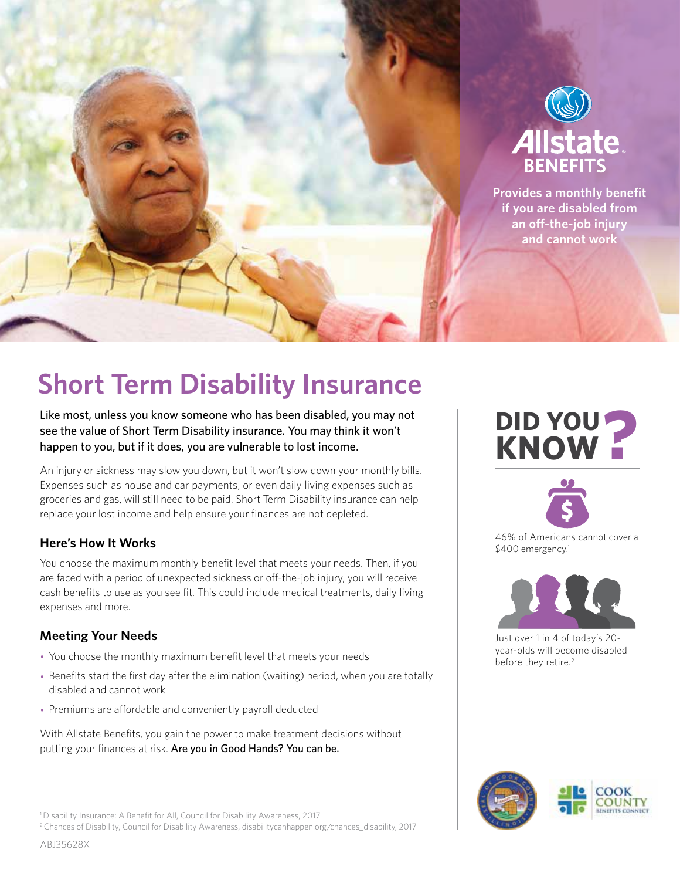

# **Short Term Disability Insurance**

Like most, unless you know someone who has been disabled, you may not see the value of Short Term Disability insurance. You may think it won't happen to you, but if it does, you are vulnerable to lost income.

An injury or sickness may slow you down, but it won't slow down your monthly bills. Expenses such as house and car payments, or even daily living expenses such as groceries and gas, will still need to be paid. Short Term Disability insurance can help replace your lost income and help ensure your finances are not depleted.

# **Here's How It Works**

You choose the maximum monthly benefit level that meets your needs. Then, if you are faced with a period of unexpected sickness or off-the-job injury, you will receive cash benefits to use as you see fit. This could include medical treatments, daily living expenses and more.

# **Meeting Your Needs**

- You choose the monthly maximum benefit level that meets your needs
- Benefits start the first day after the elimination (waiting) period, when you are totally disabled and cannot work
- Premiums are affordable and conveniently payroll deducted

With Allstate Benefits, you gain the power to make treatment decisions without putting your finances at risk. Are you in Good Hands? You can be.

<sup>1</sup> Disability Insurance: A Benefit for All, Council for Disability Awareness, 2017

2 Chances of Disability, Council for Disability Awareness, disabilitycanhappen.org/chances\_disability, 2017

# **EXAMPLE ADDED**



46% of Americans cannot cover a \$400 emergency.<sup>1</sup>



Just over 1 in 4 of today's 20 year-olds will become disabled before they retire. 2

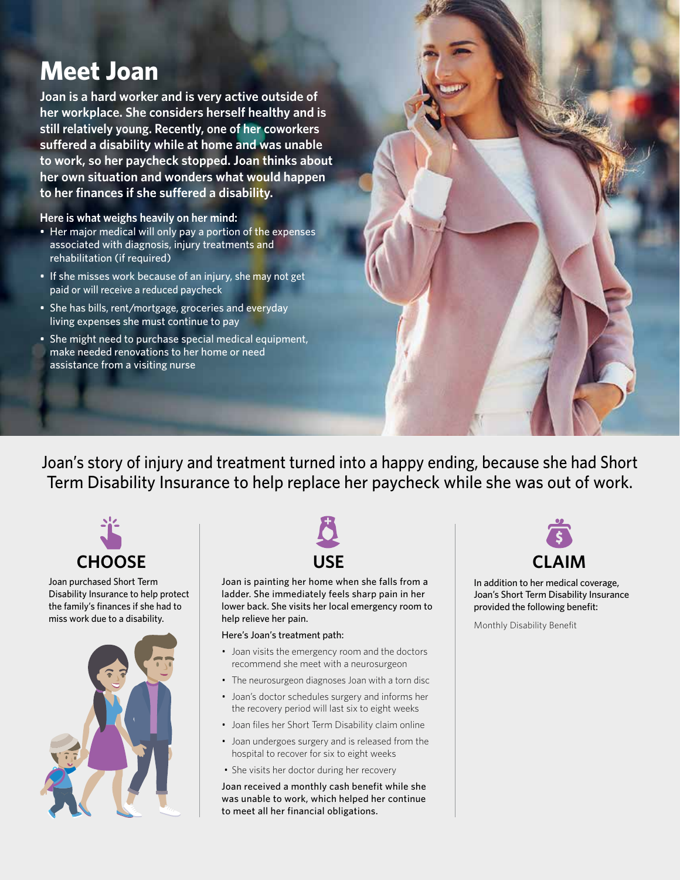# **Meet Joan**

**Joan is a hard worker and is very active outside of her workplace. She considers herself healthy and is still relatively young. Recently, one of her coworkers suffered a disability while at home and was unable to work, so her paycheck stopped. Joan thinks about her own situation and wonders what would happen to her finances if she suffered a disability.** 

**Here is what weighs heavily on her mind:**

- Her major medical will only pay a portion of the expenses associated with diagnosis, injury treatments and rehabilitation (if required)
- If she misses work because of an injury, she may not get paid or will receive a reduced paycheck
- She has bills, rent/mortgage, groceries and everyday living expenses she must continue to pay
- She might need to purchase special medical equipment, make needed renovations to her home or need assistance from a visiting nurse

Joan's story of injury and treatment turned into a happy ending, because she had Short Term Disability Insurance to help replace her paycheck while she was out of work.



Joan purchased Short Term Disability Insurance to help protect the family's finances if she had to miss work due to a disability.





Joan is painting her home when she falls from a ladder. She immediately feels sharp pain in her lower back. She visits her local emergency room to help relieve her pain.

#### Here's Joan's treatment path:

- Joan visits the emergency room and the doctors recommend she meet with a neurosurgeon
- The neurosurgeon diagnoses Joan with a torn disc
- Joan's doctor schedules surgery and informs her the recovery period will last six to eight weeks
- Joan files her Short Term Disability claim online
- Joan undergoes surgery and is released from the hospital to recover for six to eight weeks
- She visits her doctor during her recovery

Joan received a monthly cash benefit while she was unable to work, which helped her continue to meet all her financial obligations.



In addition to her medical coverage, Joan's Short Term Disability Insurance provided the following benefit:

Monthly Disability Benefit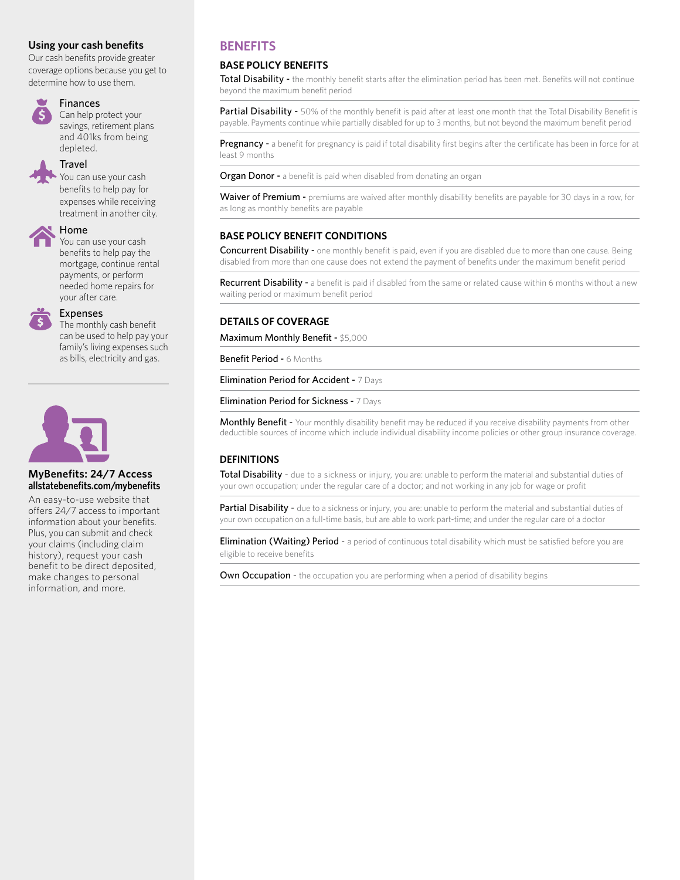#### **Using your cash benefits**

Our cash benefits provide greater coverage options because you get to determine how to use them.



#### **Finances**

Can help protect your savings, retirement plans and 401ks from being depleted.

#### **Travel**

You can use your cash benefits to help pay for expenses while receiving treatment in another city.



# Home

You can use your cash benefits to help pay the mortgage, continue rental payments, or perform needed home repairs for your after care.



## Expenses

The monthly cash benefit can be used to help pay your family's living expenses such as bills, electricity and gas.



#### **MyBenefits: 24/7 Access allstatebenefits.com/mybenefits**

An easy-to-use website that offers 24/7 access to important information about your benefits. Plus, you can submit and check your claims (including claim history), request your cash benefit to be direct deposited, make changes to personal information, and more.

# **BENEFITS**

#### **BASE POLICY BENEFITS**

Total Disability - the monthly benefit starts after the elimination period has been met. Benefits will not continue beyond the maximum benefit period

Partial Disability - 50% of the monthly benefit is paid after at least one month that the Total Disability Benefit is payable. Payments continue while partially disabled for up to 3 months, but not beyond the maximum benefit period

Pregnancy - a benefit for pregnancy is paid if total disability first begins after the certificate has been in force for at least 9 months

**Organ Donor -** a benefit is paid when disabled from donating an organ

Waiver of Premium - premiums are waived after monthly disability benefits are payable for 30 days in a row, for as long as monthly benefits are payable

#### **BASE POLICY BENEFIT CONDITIONS**

Concurrent Disability - one monthly benefit is paid, even if you are disabled due to more than one cause. Being disabled from more than one cause does not extend the payment of benefits under the maximum benefit period

Recurrent Disability - a benefit is paid if disabled from the same or related cause within 6 months without a new waiting period or maximum benefit period

## **DETAILS OF COVERAGE**

Maximum Monthly Benefit - \$5,000

Benefit Period - 6 Months

**Elimination Period for Accident - 7 Days** 

Elimination Period for Sickness - 7 Days

Monthly Benefit - Your monthly disability benefit may be reduced if you receive disability payments from other deductible sources of income which include individual disability income policies or other group insurance coverage.

## **DEFINITIONS**

Total Disability - due to a sickness or injury, you are: unable to perform the material and substantial duties of your own occupation; under the regular care of a doctor; and not working in any job for wage or profit

Partial Disability - due to a sickness or injury, you are: unable to perform the material and substantial duties of your own occupation on a full-time basis, but are able to work part-time; and under the regular care of a doctor

**Elimination (Waiting) Period** - a period of continuous total disability which must be satisfied before you are eligible to receive benefits

**Own Occupation -** the occupation you are performing when a period of disability begins